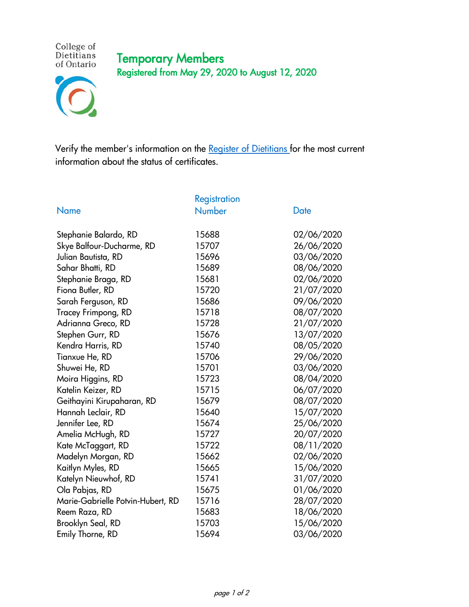## Temporary Members Registered from May 29, 2020 to August 12, 2020



College of<br>Dietitians of Ontario

Verify the member's information on the [Register of Dietitians f](https://portal.collegeofdietitians.org/cdo/Portal/Public_Directory/PublicRegisterMember/Public_Directory/PublicRegisterMember.aspx)or the most current information about the status of certificates.

|                                   | <b>Registration</b> |             |
|-----------------------------------|---------------------|-------------|
| <b>Name</b>                       | <b>Number</b>       | <b>Date</b> |
|                                   |                     |             |
| Stephanie Balardo, RD             | 15688               | 02/06/2020  |
| Skye Balfour-Ducharme, RD         | 15707               | 26/06/2020  |
| Julian Bautista, RD               | 15696               | 03/06/2020  |
| Sahar Bhatti, RD                  | 15689               | 08/06/2020  |
| Stephanie Braga, RD               | 15681               | 02/06/2020  |
| Fiona Butler, RD                  | 15720               | 21/07/2020  |
| Sarah Ferguson, RD                | 15686               | 09/06/2020  |
| Tracey Frimpong, RD               | 15718               | 08/07/2020  |
| Adrianna Greco, RD                | 15728               | 21/07/2020  |
| Stephen Gurr, RD                  | 15676               | 13/07/2020  |
| Kendra Harris, RD                 | 15740               | 08/05/2020  |
| Tianxue He, RD                    | 15706               | 29/06/2020  |
| Shuwei He, RD                     | 15701               | 03/06/2020  |
| Moira Higgins, RD                 | 15723               | 08/04/2020  |
| Katelin Keizer, RD                | 15715               | 06/07/2020  |
| Geithayini Kirupaharan, RD        | 15679               | 08/07/2020  |
| Hannah Leclair, RD                | 15640               | 15/07/2020  |
| Jennifer Lee, RD                  | 15674               | 25/06/2020  |
| Amelia McHugh, RD                 | 15727               | 20/07/2020  |
| Kate McTaggart, RD                | 15722               | 08/11/2020  |
| Madelyn Morgan, RD                | 15662               | 02/06/2020  |
| Kaitlyn Myles, RD                 | 15665               | 15/06/2020  |
| Katelyn Nieuwhof, RD              | 15741               | 31/07/2020  |
| Ola Pabjas, RD                    | 15675               | 01/06/2020  |
| Marie-Gabrielle Potvin-Hubert, RD | 15716               | 28/07/2020  |
| Reem Raza, RD                     | 15683               | 18/06/2020  |
| Brooklyn Seal, RD                 | 15703               | 15/06/2020  |
| Emily Thorne, RD                  | 15694               | 03/06/2020  |